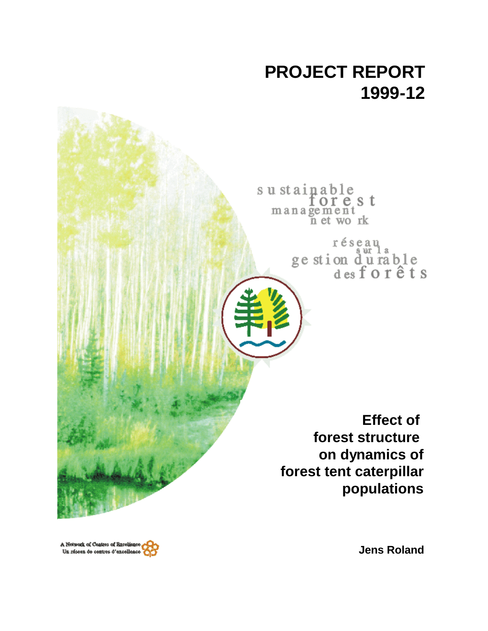

sustainable<br>forest<br>management<br>net work

réseau<br>ge stion d'u rable<br>des forêts

**Effect of forest structure on dynamics of forest tent caterpillar populations**

A Notwork of Contres of Exceller Un réseau de contres d'excellenc

**Jens Roland**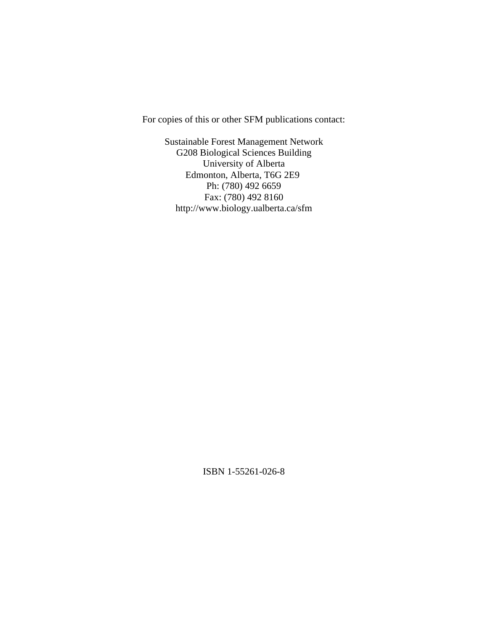For copies of this or other SFM publications contact:

Sustainable Forest Management Network G208 Biological Sciences Building University of Alberta Edmonton, Alberta, T6G 2E9 Ph: (780) 492 6659 Fax: (780) 492 8160 http://www.biology.ualberta.ca/sfm

ISBN 1-55261-026-8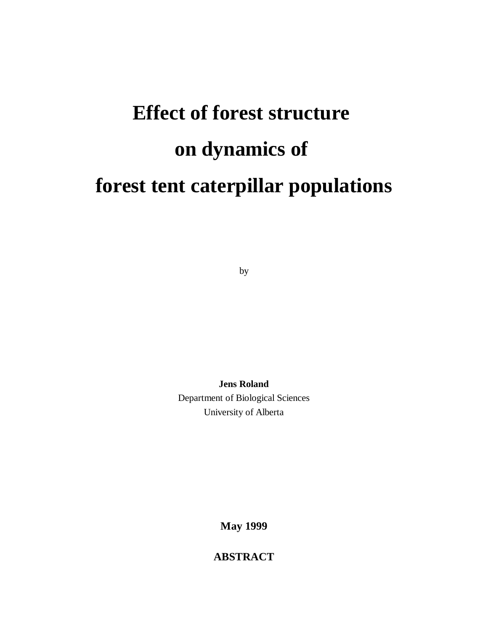# **Effect of forest structure on dynamics of forest tent caterpillar populations**

by

**Jens Roland** Department of Biological Sciences University of Alberta

**May 1999**

**ABSTRACT**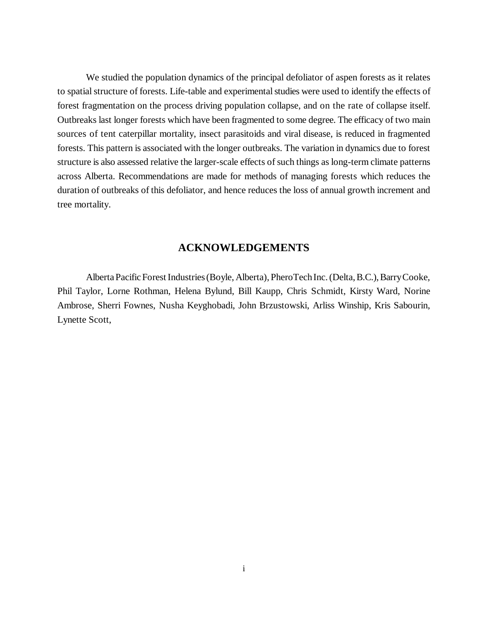We studied the population dynamics of the principal defoliator of aspen forests as it relates to spatial structure of forests. Life-table and experimental studies were used to identify the effects of forest fragmentation on the process driving population collapse, and on the rate of collapse itself. Outbreaks last longer forests which have been fragmented to some degree. The efficacy of two main sources of tent caterpillar mortality, insect parasitoids and viral disease, is reduced in fragmented forests. This pattern is associated with the longer outbreaks. The variation in dynamics due to forest structure is also assessed relative the larger-scale effects of such things as long-term climate patterns across Alberta. Recommendations are made for methods of managing forests which reduces the duration of outbreaks of this defoliator, and hence reduces the loss of annual growth increment and tree mortality.

#### **ACKNOWLEDGEMENTS**

Alberta Pacific Forest Industries (Boyle, Alberta), PheroTech Inc. (Delta, B.C.), Barry Cooke, Phil Taylor, Lorne Rothman, Helena Bylund, Bill Kaupp, Chris Schmidt, Kirsty Ward, Norine Ambrose, Sherri Fownes, Nusha Keyghobadi, John Brzustowski, Arliss Winship, Kris Sabourin, Lynette Scott,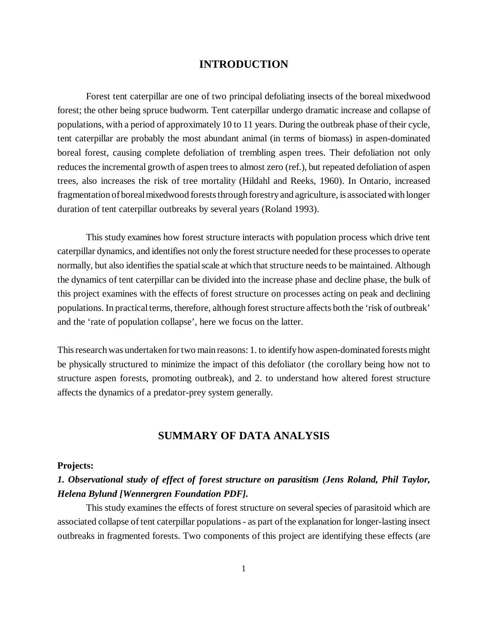## **INTRODUCTION**

Forest tent caterpillar are one of two principal defoliating insects of the boreal mixedwood forest; the other being spruce budworm. Tent caterpillar undergo dramatic increase and collapse of populations, with a period of approximately 10 to 11 years. During the outbreak phase of their cycle, tent caterpillar are probably the most abundant animal (in terms of biomass) in aspen-dominated boreal forest, causing complete defoliation of trembling aspen trees. Their defoliation not only reduces the incremental growth of aspen trees to almost zero (ref.), but repeated defoliation of aspen trees, also increases the risk of tree mortality (Hildahl and Reeks, 1960). In Ontario, increased fragmentation of boreal mixedwood forests through forestry and agriculture, is associated with longer duration of tent caterpillar outbreaks by several years (Roland 1993).

This study examines how forest structure interacts with population process which drive tent caterpillar dynamics, and identifies not only the forest structure needed for these processes to operate normally, but also identifies the spatial scale at which that structure needs to be maintained. Although the dynamics of tent caterpillar can be divided into the increase phase and decline phase, the bulk of this project examines with the effects of forest structure on processes acting on peak and declining populations. In practical terms, therefore, although forest structure affects both the 'risk of outbreak' and the 'rate of population collapse', here we focus on the latter.

This research was undertaken for two main reasons: 1. to identify how aspen-dominated forests might be physically structured to minimize the impact of this defoliator (the corollary being how not to structure aspen forests, promoting outbreak), and 2. to understand how altered forest structure affects the dynamics of a predator-prey system generally.

## **SUMMARY OF DATA ANALYSIS**

#### **Projects:**

# *1. Observational study of effect of forest structure on parasitism (Jens Roland, Phil Taylor, Helena Bylund [Wennergren Foundation PDF].*

This study examines the effects of forest structure on several species of parasitoid which are associated collapse of tent caterpillar populations - as part of the explanation for longer-lasting insect outbreaks in fragmented forests. Two components of this project are identifying these effects (are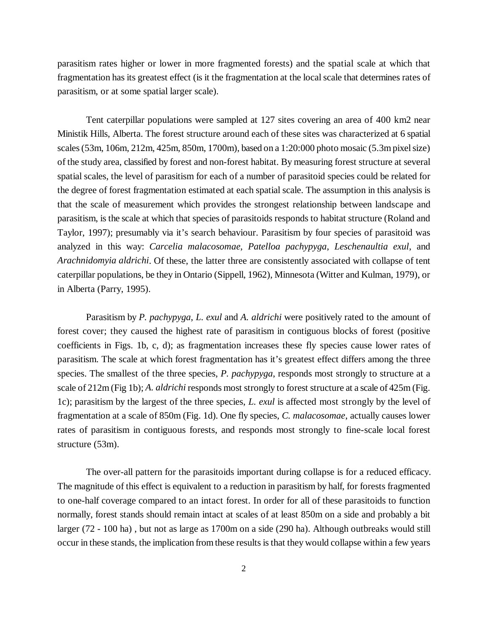parasitism rates higher or lower in more fragmented forests) and the spatial scale at which that fragmentation has its greatest effect (is it the fragmentation at the local scale that determines rates of parasitism, or at some spatial larger scale).

Tent caterpillar populations were sampled at 127 sites covering an area of 400 km2 near Ministik Hills, Alberta. The forest structure around each of these sites was characterized at 6 spatial scales (53m, 106m, 212m, 425m, 850m, 1700m), based on a 1:20:000 photo mosaic (5.3m pixel size) of the study area, classified by forest and non-forest habitat. By measuring forest structure at several spatial scales, the level of parasitism for each of a number of parasitoid species could be related for the degree of forest fragmentation estimated at each spatial scale. The assumption in this analysis is that the scale of measurement which provides the strongest relationship between landscape and parasitism, is the scale at which that species of parasitoids responds to habitat structure (Roland and Taylor, 1997); presumably via it's search behaviour. Parasitism by four species of parasitoid was analyzed in this way: *Carcelia malacosomae*, *Patelloa pachypyga*, *Leschenaultia exul*, and *Arachnidomyia aldrichi*. Of these, the latter three are consistently associated with collapse of tent caterpillar populations, be they in Ontario (Sippell, 1962), Minnesota (Witter and Kulman, 1979), or in Alberta (Parry, 1995).

Parasitism by *P. pachypyga*, *L. exul* and *A. aldrichi* were positively rated to the amount of forest cover; they caused the highest rate of parasitism in contiguous blocks of forest (positive coefficients in Figs. 1b, c, d); as fragmentation increases these fly species cause lower rates of parasitism. The scale at which forest fragmentation has it's greatest effect differs among the three species. The smallest of the three species, *P. pachypyga*, responds most strongly to structure at a scale of 212m (Fig 1b); *A. aldrichi* responds most strongly to forest structure at a scale of 425m (Fig. 1c); parasitism by the largest of the three species, *L. exul* is affected most strongly by the level of fragmentation at a scale of 850m (Fig. 1d). One fly species, *C. malacosomae*, actually causes lower rates of parasitism in contiguous forests, and responds most strongly to fine-scale local forest structure (53m).

The over-all pattern for the parasitoids important during collapse is for a reduced efficacy. The magnitude of this effect is equivalent to a reduction in parasitism by half, for forests fragmented to one-half coverage compared to an intact forest. In order for all of these parasitoids to function normally, forest stands should remain intact at scales of at least 850m on a side and probably a bit larger (72 - 100 ha) , but not as large as 1700m on a side (290 ha). Although outbreaks would still occur in these stands, the implication from these results is that they would collapse within a few years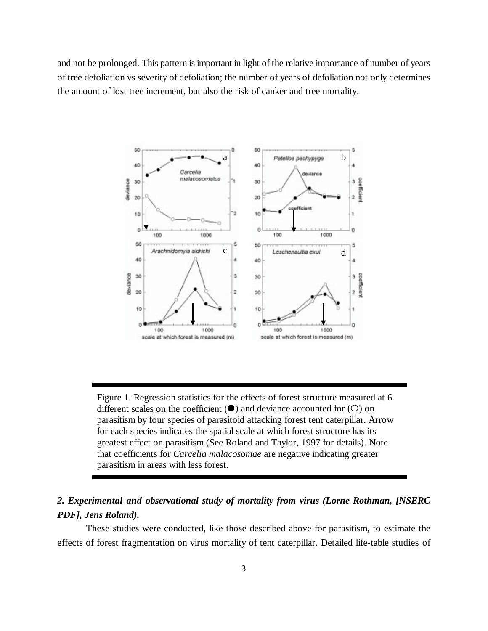and not be prolonged. This pattern is important in light of the relative importance of number of years of tree defoliation vs severity of defoliation; the number of years of defoliation not only determines the amount of lost tree increment, but also the risk of canker and tree mortality.



Figure 1. Regression statistics for the effects of forest structure measured at 6 different scales on the coefficient  $(\bullet)$  and deviance accounted for  $(O)$  on parasitism by four species of parasitoid attacking forest tent caterpillar. Arrow for each species indicates the spatial scale at which forest structure has its greatest effect on parasitism (See Roland and Taylor, 1997 for details). Note that coefficients for *Carcelia malacosomae* are negative indicating greater parasitism in areas with less forest.

# *2. Experimental and observational study of mortality from virus (Lorne Rothman, [NSERC PDF], Jens Roland).*

These studies were conducted, like those described above for parasitism, to estimate the effects of forest fragmentation on virus mortality of tent caterpillar. Detailed life-table studies of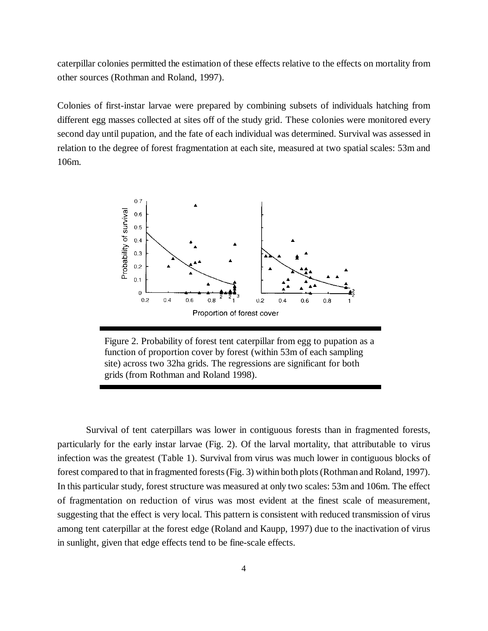caterpillar colonies permitted the estimation of these effects relative to the effects on mortality from other sources (Rothman and Roland, 1997).

Colonies of first-instar larvae were prepared by combining subsets of individuals hatching from different egg masses collected at sites off of the study grid. These colonies were monitored every second day until pupation, and the fate of each individual was determined. Survival was assessed in relation to the degree of forest fragmentation at each site, measured at two spatial scales: 53m and 106m.



Figure 2. Probability of forest tent caterpillar from egg to pupation as a function of proportion cover by forest (within 53m of each sampling site) across two 32ha grids. The regressions are significant for both grids (from Rothman and Roland 1998).

Survival of tent caterpillars was lower in contiguous forests than in fragmented forests, particularly for the early instar larvae (Fig. 2). Of the larval mortality, that attributable to virus infection was the greatest (Table 1). Survival from virus was much lower in contiguous blocks of forest compared to that in fragmented forests (Fig. 3) within both plots (Rothman and Roland, 1997). In this particular study, forest structure was measured at only two scales: 53m and 106m. The effect of fragmentation on reduction of virus was most evident at the finest scale of measurement, suggesting that the effect is very local. This pattern is consistent with reduced transmission of virus among tent caterpillar at the forest edge (Roland and Kaupp, 1997) due to the inactivation of virus in sunlight, given that edge effects tend to be fine-scale effects.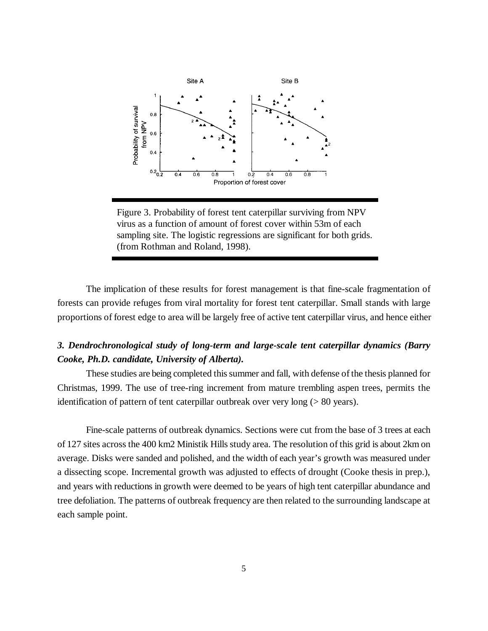

Figure 3. Probability of forest tent caterpillar surviving from NPV virus as a function of amount of forest cover within 53m of each sampling site. The logistic regressions are significant for both grids. (from Rothman and Roland, 1998).

The implication of these results for forest management is that fine-scale fragmentation of forests can provide refuges from viral mortality for forest tent caterpillar. Small stands with large proportions of forest edge to area will be largely free of active tent caterpillar virus, and hence either

# *3. Dendrochronological study of long-term and large-scale tent caterpillar dynamics (Barry Cooke, Ph.D. candidate, University of Alberta).*

These studies are being completed this summer and fall, with defense of the thesis planned for Christmas, 1999. The use of tree-ring increment from mature trembling aspen trees, permits the identification of pattern of tent caterpillar outbreak over very long (> 80 years).

Fine-scale patterns of outbreak dynamics. Sections were cut from the base of 3 trees at each of 127 sites across the 400 km2 Ministik Hills study area. The resolution of this grid is about 2km on average. Disks were sanded and polished, and the width of each year's growth was measured under a dissecting scope. Incremental growth was adjusted to effects of drought (Cooke thesis in prep.), and years with reductions in growth were deemed to be years of high tent caterpillar abundance and tree defoliation. The patterns of outbreak frequency are then related to the surrounding landscape at each sample point.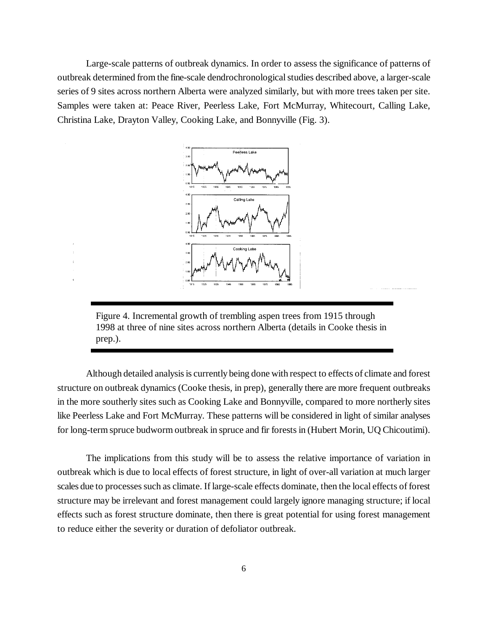Large-scale patterns of outbreak dynamics. In order to assess the significance of patterns of outbreak determined from the fine-scale dendrochronological studies described above, a larger-scale series of 9 sites across northern Alberta were analyzed similarly, but with more trees taken per site. Samples were taken at: Peace River, Peerless Lake, Fort McMurray, Whitecourt, Calling Lake, Christina Lake, Drayton Valley, Cooking Lake, and Bonnyville (Fig. 3).



Figure 4. Incremental growth of trembling aspen trees from 1915 through 1998 at three of nine sites across northern Alberta (details in Cooke thesis in prep.).

Although detailed analysis is currently being done with respect to effects of climate and forest structure on outbreak dynamics (Cooke thesis, in prep), generally there are more frequent outbreaks in the more southerly sites such as Cooking Lake and Bonnyville, compared to more northerly sites like Peerless Lake and Fort McMurray. These patterns will be considered in light of similar analyses for long-term spruce budworm outbreak in spruce and fir forests in (Hubert Morin, UQ Chicoutimi).

The implications from this study will be to assess the relative importance of variation in outbreak which is due to local effects of forest structure, in light of over-all variation at much larger scales due to processes such as climate. If large-scale effects dominate, then the local effects of forest structure may be irrelevant and forest management could largely ignore managing structure; if local effects such as forest structure dominate, then there is great potential for using forest management to reduce either the severity or duration of defoliator outbreak.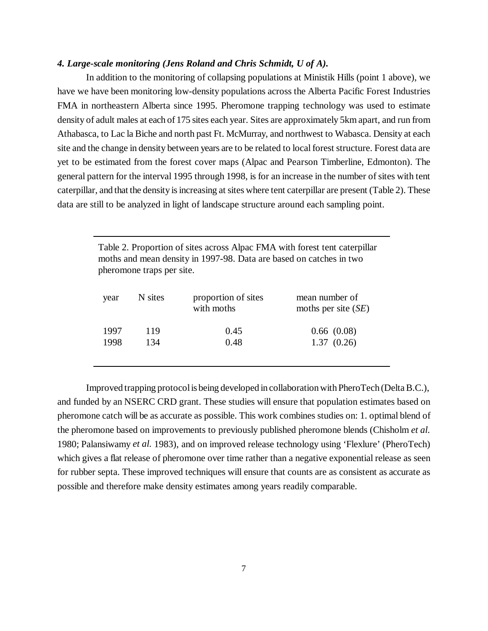#### *4. Large-scale monitoring (Jens Roland and Chris Schmidt, U of A).*

In addition to the monitoring of collapsing populations at Ministik Hills (point 1 above), we have we have been monitoring low-density populations across the Alberta Pacific Forest Industries FMA in northeastern Alberta since 1995. Pheromone trapping technology was used to estimate density of adult males at each of 175 sites each year. Sites are approximately 5km apart, and run from Athabasca, to Lac la Biche and north past Ft. McMurray, and northwest to Wabasca. Density at each site and the change in density between years are to be related to local forest structure. Forest data are yet to be estimated from the forest cover maps (Alpac and Pearson Timberline, Edmonton). The general pattern for the interval 1995 through 1998, is for an increase in the number of sites with tent caterpillar, and that the density is increasing at sites where tent caterpillar are present (Table 2). These data are still to be analyzed in light of landscape structure around each sampling point.

> Table 2. Proportion of sites across Alpac FMA with forest tent caterpillar moths and mean density in 1997-98. Data are based on catches in two pheromone traps per site.

| year | N sites | proportion of sites<br>with moths | mean number of<br>moths per site $(SE)$ |
|------|---------|-----------------------------------|-----------------------------------------|
| 1997 | 119     | 0.45                              | 0.66(0.08)                              |
| 1998 | 134     | 0.48                              | 1.37(0.26)                              |
|      |         |                                   |                                         |

Improved trapping protocol is being developed in collaboration with PheroTech (Delta B.C.), and funded by an NSERC CRD grant. These studies will ensure that population estimates based on pheromone catch will be as accurate as possible. This work combines studies on: 1. optimal blend of the pheromone based on improvements to previously published pheromone blends (Chisholm *et al.* 1980; Palansiwamy *et al.* 1983), and on improved release technology using 'Flexlure' (PheroTech) which gives a flat release of pheromone over time rather than a negative exponential release as seen for rubber septa. These improved techniques will ensure that counts are as consistent as accurate as possible and therefore make density estimates among years readily comparable.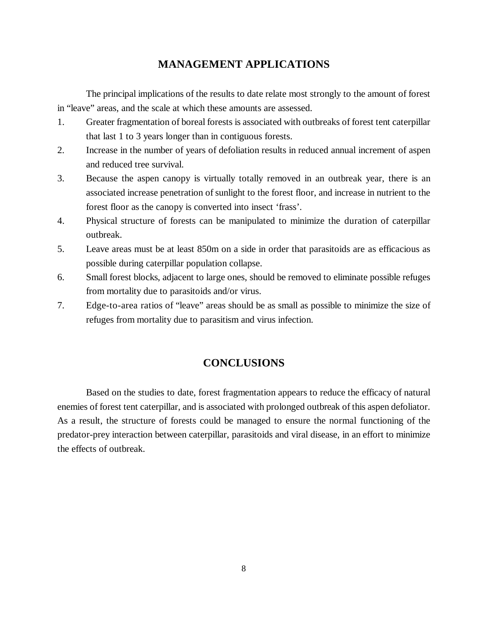# **MANAGEMENT APPLICATIONS**

The principal implications of the results to date relate most strongly to the amount of forest in "leave" areas, and the scale at which these amounts are assessed.

- 1. Greater fragmentation of boreal forests is associated with outbreaks of forest tent caterpillar that last 1 to 3 years longer than in contiguous forests.
- 2. Increase in the number of years of defoliation results in reduced annual increment of aspen and reduced tree survival.
- 3. Because the aspen canopy is virtually totally removed in an outbreak year, there is an associated increase penetration of sunlight to the forest floor, and increase in nutrient to the forest floor as the canopy is converted into insect 'frass'.
- 4. Physical structure of forests can be manipulated to minimize the duration of caterpillar outbreak.
- 5. Leave areas must be at least 850m on a side in order that parasitoids are as efficacious as possible during caterpillar population collapse.
- 6. Small forest blocks, adjacent to large ones, should be removed to eliminate possible refuges from mortality due to parasitoids and/or virus.
- 7. Edge-to-area ratios of "leave" areas should be as small as possible to minimize the size of refuges from mortality due to parasitism and virus infection.

## **CONCLUSIONS**

Based on the studies to date, forest fragmentation appears to reduce the efficacy of natural enemies of forest tent caterpillar, and is associated with prolonged outbreak of this aspen defoliator. As a result, the structure of forests could be managed to ensure the normal functioning of the predator-prey interaction between caterpillar, parasitoids and viral disease, in an effort to minimize the effects of outbreak.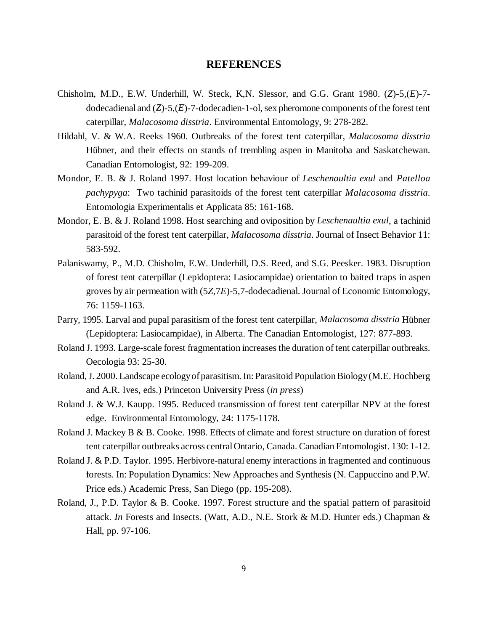#### **REFERENCES**

- Chisholm, M.D., E.W. Underhill, W. Steck, K,N. Slessor, and G.G. Grant 1980. (*Z*)-5,(*E*)-7 dodecadienal and (*Z*)-5,(*E*)-7-dodecadien-1-ol, sex pheromone components of the forest tent caterpillar, *Malacosoma disstria*. Environmental Entomology, 9: 278-282.
- Hildahl, V. & W.A. Reeks 1960. Outbreaks of the forest tent caterpillar, *Malacosoma disstria* Hübner, and their effects on stands of trembling aspen in Manitoba and Saskatchewan. Canadian Entomologist, 92: 199-209.
- Mondor, E. B. & J. Roland 1997. Host location behaviour of *Leschenaultia exul* and *Patelloa pachypyga*: Two tachinid parasitoids of the forest tent caterpillar *Malacosoma disstria*. Entomologia Experimentalis et Applicata 85: 161-168.
- Mondor, E. B. & J. Roland 1998. Host searching and oviposition by *Leschenaultia exul*, a tachinid parasitoid of the forest tent caterpillar, *Malacosoma disstria*. Journal of Insect Behavior 11: 583-592.
- Palaniswamy, P., M.D. Chisholm, E.W. Underhill, D.S. Reed, and S.G. Peesker. 1983. Disruption of forest tent caterpillar (Lepidoptera: Lasiocampidae) orientation to baited traps in aspen groves by air permeation with (5*Z*,7*E*)-5,7-dodecadienal. Journal of Economic Entomology, 76: 1159-1163.
- Parry, 1995. Larval and pupal parasitism of the forest tent caterpillar, *Malacosoma disstria* Hübner (Lepidoptera: Lasiocampidae), in Alberta. The Canadian Entomologist, 127: 877-893.
- Roland J. 1993. Large-scale forest fragmentation increases the duration of tent caterpillar outbreaks. Oecologia 93: 25-30.
- Roland, J. 2000. Landscape ecology of parasitism. In: Parasitoid Population Biology (M.E. Hochberg and A.R. Ives, eds.) Princeton University Press (*in press*)
- Roland J. & W.J. Kaupp. 1995. Reduced transmission of forest tent caterpillar NPV at the forest edge. Environmental Entomology, 24: 1175-1178.
- Roland J. Mackey B & B. Cooke. 1998. Effects of climate and forest structure on duration of forest tent caterpillar outbreaks across central Ontario, Canada. Canadian Entomologist. 130: 1-12.
- Roland J. & P.D. Taylor. 1995. Herbivore-natural enemy interactions in fragmented and continuous forests. In: Population Dynamics: New Approaches and Synthesis (N. Cappuccino and P.W. Price eds.) Academic Press, San Diego (pp. 195-208).
- Roland, J., P.D. Taylor & B. Cooke. 1997. Forest structure and the spatial pattern of parasitoid attack. *In* Forests and Insects. (Watt, A.D., N.E. Stork & M.D. Hunter eds.) Chapman & Hall, pp. 97-106.